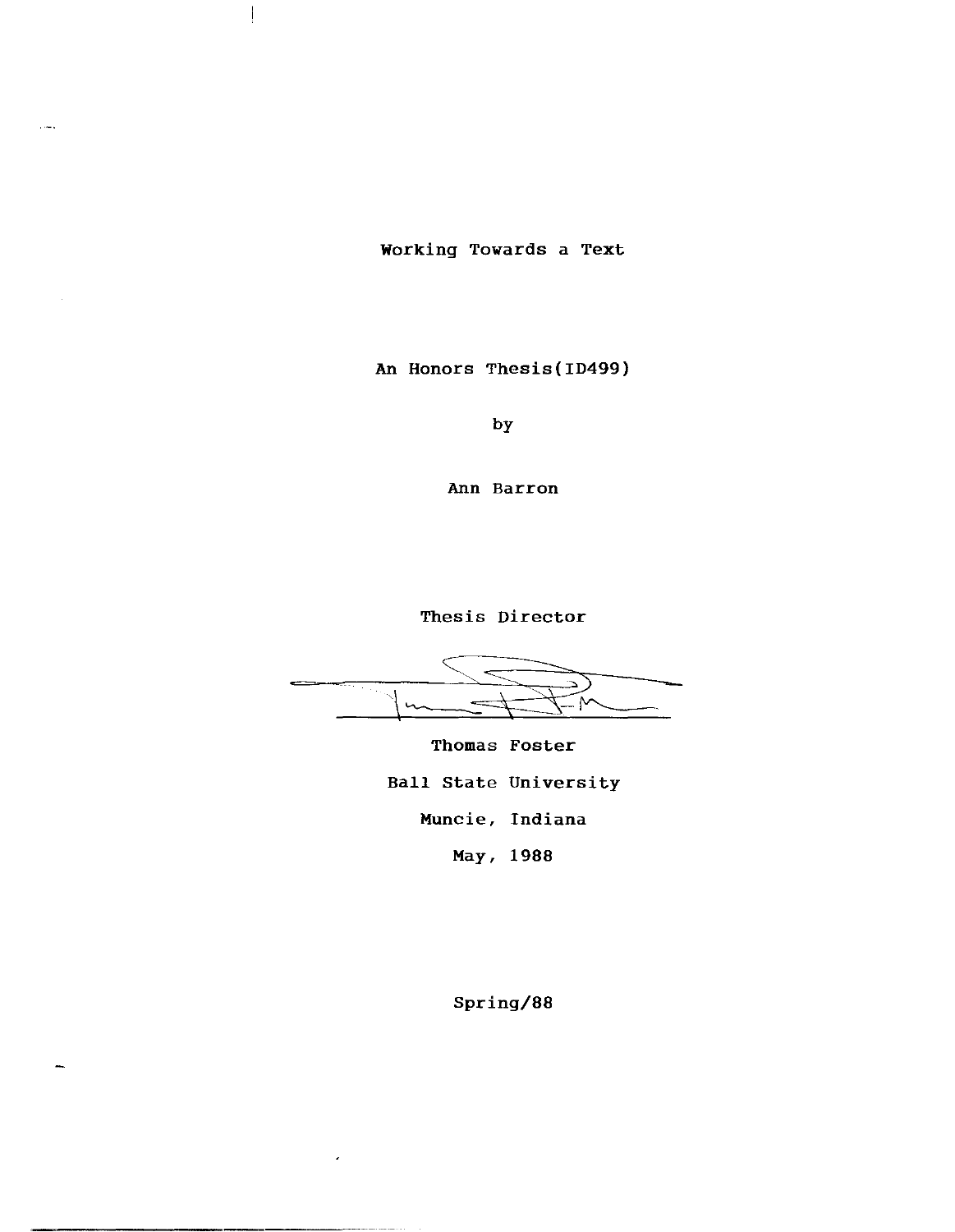Working Towards a Text

 $\hat{\tau}$  ones

An Honors Thesis(ID499)

by

Ann Barron

Thesis Director

 $\mathsf{M}$ 

Thomas Foster Ball state University Muncie, Indiana May, 1988

Spring/88

 $\overline{a}$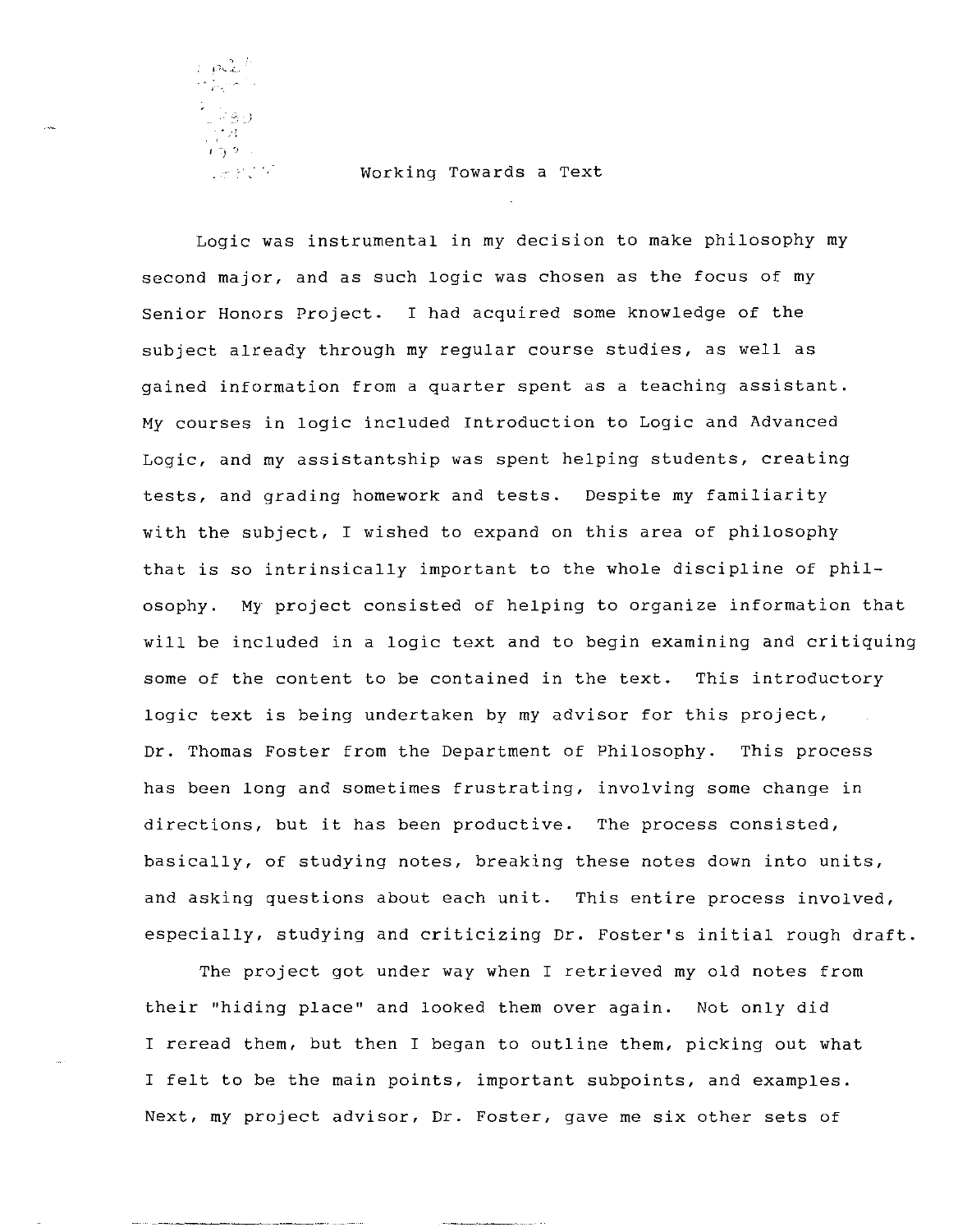$\sim \rho \mathcal{Z}^4$  $\frac{1}{1+30}$  $\label{eq:2.1} \frac{1}{2} \frac{1}{2} \frac{1}{2} \frac{1}{2} \frac{1}{2} \frac{1}{2} \frac{1}{2} \frac{1}{2} \frac{1}{2} \frac{1}{2} \frac{1}{2} \frac{1}{2} \frac{1}{2} \frac{1}{2} \frac{1}{2} \frac{1}{2} \frac{1}{2} \frac{1}{2} \frac{1}{2} \frac{1}{2} \frac{1}{2} \frac{1}{2} \frac{1}{2} \frac{1}{2} \frac{1}{2} \frac{1}{2} \frac{1}{2} \frac{1}{2} \frac{1}{2} \frac{1}{2} \$ 

## Working Towards a Text

Logic was instrumental in my decision to make philosophy my second major, and as such logic was chosen as the focus of my Senior Honors Project. I had acquired some knowledge of the subject already through my regular course studies, as well as gained information from a quarter spent as a teaching assistant. My courses in logic included Introduction to Logic and Advanced Logic, and my assistantship was spent helping students, creating tests, and grading homework and tests. Despite my familiarity with the subject, I wished to expand on this area of philosophy that is so intrinsically important to the whole discipline of philosophy. My project consisted of helping to organize information that will be included in a logic text and to begin examining and critiquing some of the content to be contained in the text. This introductory logic text is being undertaken by my advisor for this project, Dr. Thomas Foster from the Department of Philosophy. This process has been long and sometimes frustrating, involving some change in directions, but it has been productive. The process consisted, basically, of studying notes, breaking these notes down into units, and asking questions about each unit. This entire process involved, especially, studying and criticizing Dr. Foster's initial rough draft.

The project got under way when I retrieved my old notes from their "hiding place" and looked them over again. Not only did I reread them, but then I began to outline them, picking out what I felt to be the main points, important subpoints, and examples. Next, my project advisor, Dr. Foster, gave me six other sets of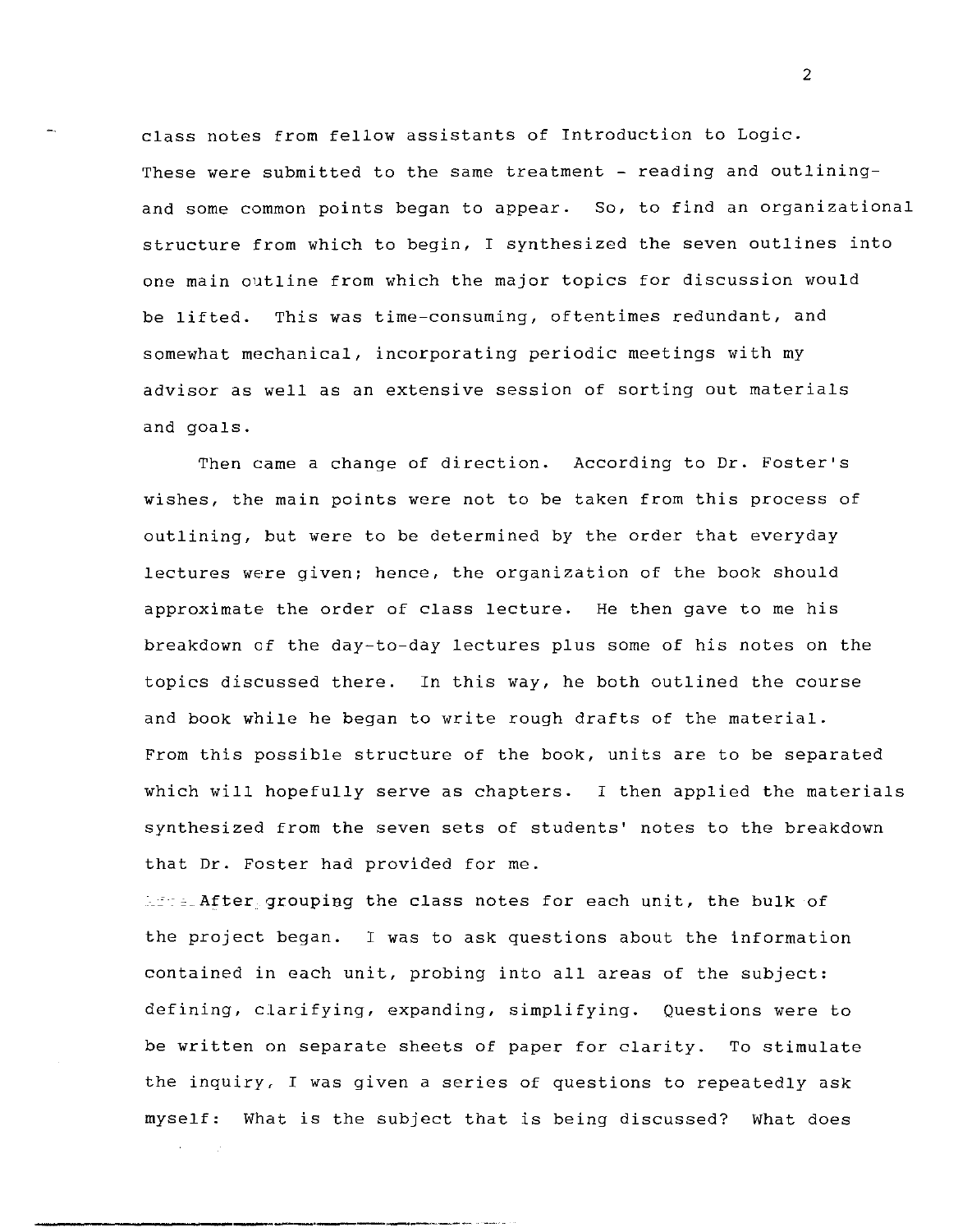class notes from fellow assistants of Introduction to Logic. These were submitted to the same treatment - reading and outliningand some common points began to appear. So, to find an organizational structure from which to begin, I synthesized the seven outlines into one main outline from which the major topics for discussion would be lifted. This was time-consuming, oftentimes redundant, and somewhat mechanical, incorporating periodic meetings with my advisor as well as an extensive session of sorting out materials and goals.

Then came a change of direction. According to Dr. Foster's wishes, the main points were not to be taken from this process of outlining, but were to be determined by the order that everyday lectures were given; hence, the organization of the book should approximate the order of class lecture. He then gave to me his breakdown of the day-to-day lectures plus some of his notes on the topics discussed there. In this way, he both outlined the course and book while he began to write rough drafts of the material. From this possible structure of the book, units are to be separated which will hopefully serve as chapters. I then applied the materials synthesized from the seven sets of students' notes to the breakdown that Dr. Foster had provided for me.

\_After groupiag the class notes for each unit, the bulk of the project began. I was to ask questions about the information contained in each unit, probing into all areas of the subject: defining, clarifying, expanding, simplifying. Questions were to be written on separate sheets of paper for clarity. To stimulate the inquiry, I was given a series of questions to repeatedly ask myself: What is the subject that is being discussed? What does

2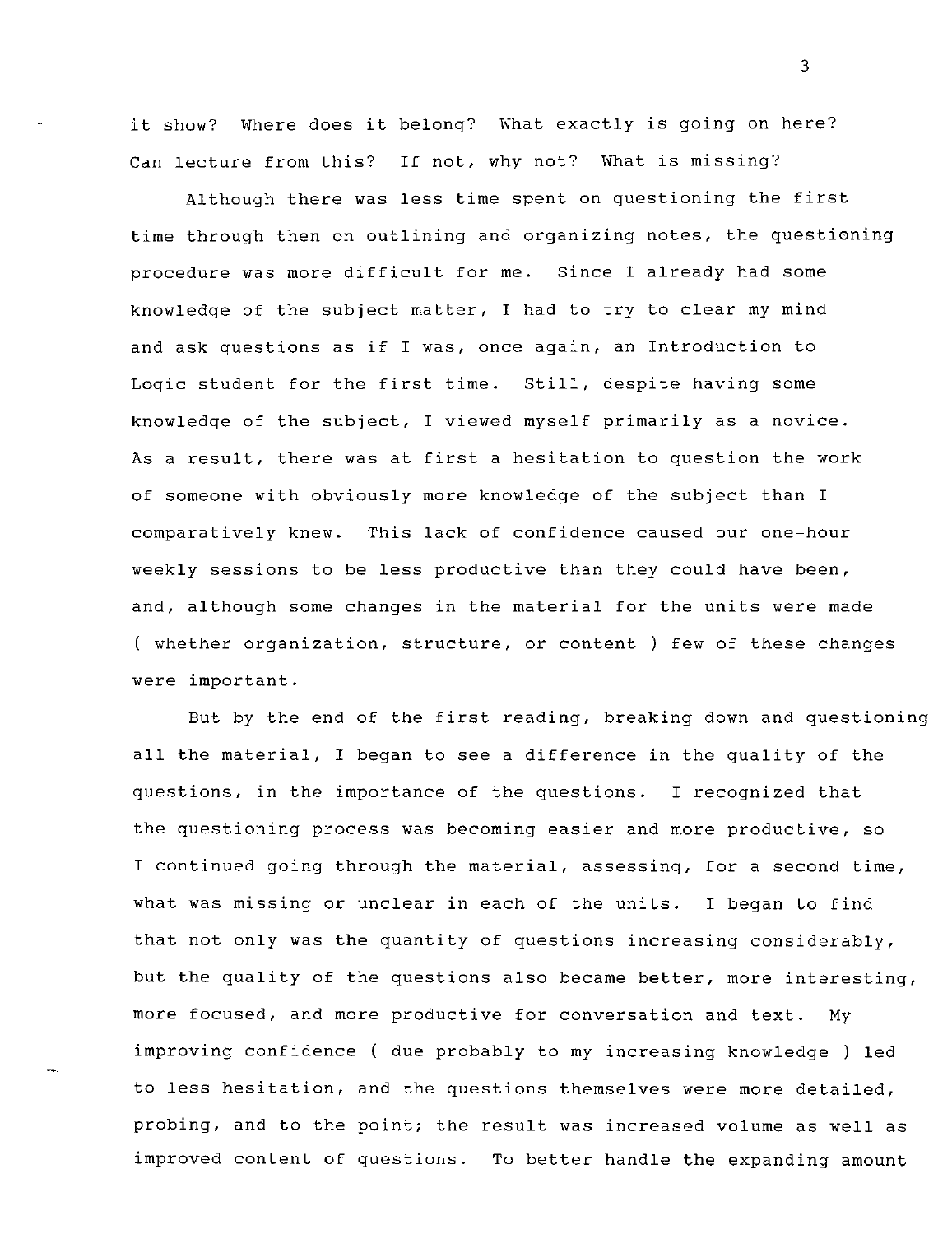it show? Where does it belong? What exactly is going on here? Can lecture from this? If not, why not? What is missing?

Although there was less time spent on questioning the first time through then on outlining and organizing notes, the questioning procedure was more difficult for me. Since I already had some knowledge of the subject matter, I had to try to clear my mind and ask questions as if I was, once again, an Introduction to Logic student for the first time. Still, despite having some knowledge of the subject, I viewed myself primarily as a novice. As a result, there was at first a hesitation to question the work of someone with obviously more knowledge of the subject than I comparatively knew. This lack of confidence caused our one-hour weekly sessions to be less productive than they could have been, and, although some changes in the material for the units were made ( whether organization, structure, or content) few of these changes were important.

But by the end of the first reading, breaking down and questioning all the material, I began to see a difference in the quality of the questions, in the importance of the questions. I recognized that the questioning process was becoming easier and more productive, so I continued going through the material, assessing, for a second time, what was missing or unclear in each of the units. I began to find that not only was the quantity of questions increasing considerably, but the quality of the questions also became better, more interesting, more focused, and more productive for conversation and text. My improving confidence ( due probably to my increasing knowledge ) led to less hesitation, and the questions themselves were more detailed, probing, and to the point; the result was increased volume as well as improved content of questions. To better handle the expanding amount

3